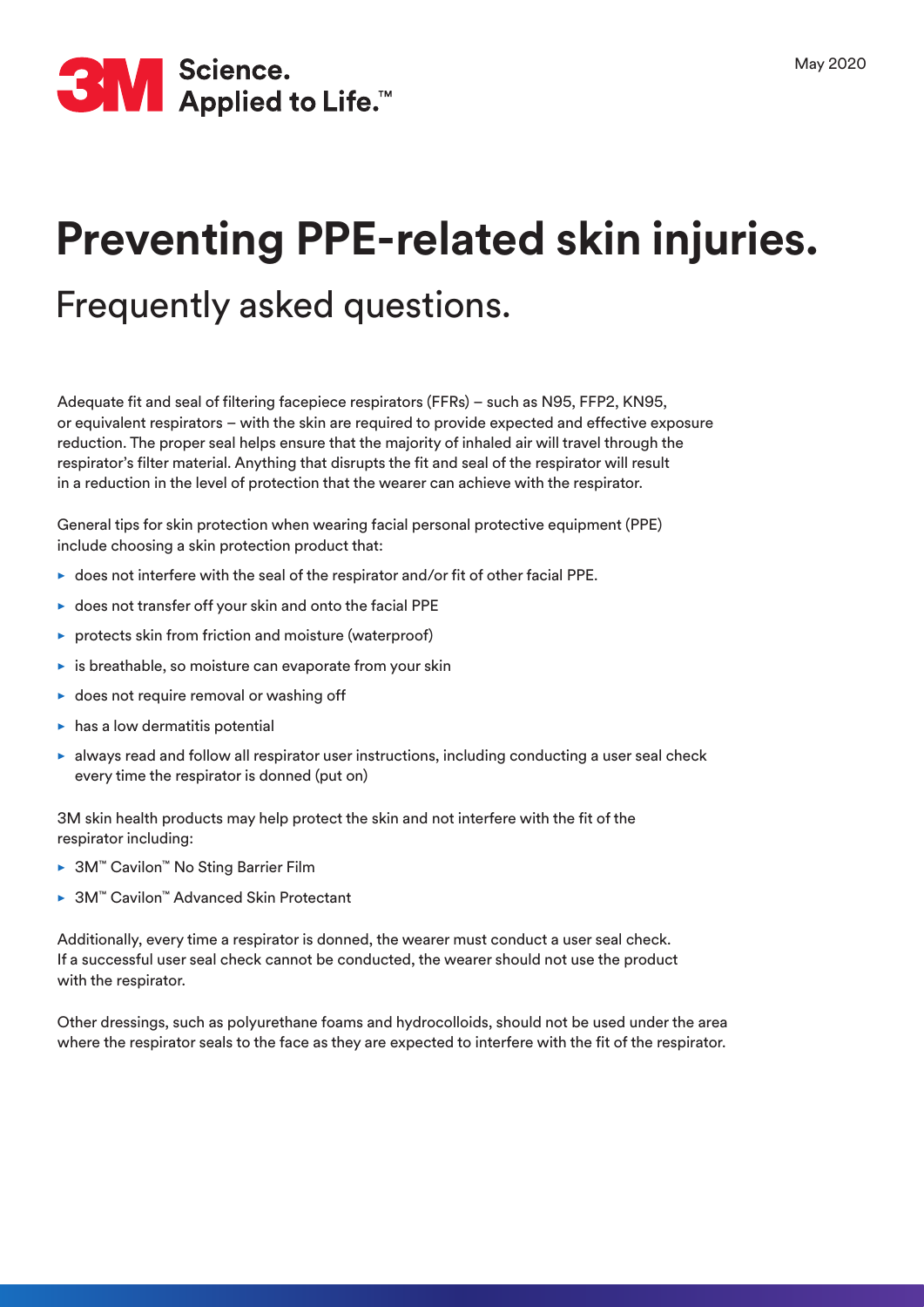

# **Preventing PPE-related skin injuries.**

## Frequently asked questions.

Adequate fit and seal of filtering facepiece respirators (FFRs) – such as N95, FFP2, KN95, or equivalent respirators – with the skin are required to provide expected and effective exposure reduction. The proper seal helps ensure that the majority of inhaled air will travel through the respirator's filter material. Anything that disrupts the fit and seal of the respirator will result in a reduction in the level of protection that the wearer can achieve with the respirator.

General tips for skin protection when wearing facial personal protective equipment (PPE) include choosing a skin protection product that:

- $\triangleright$  does not interfere with the seal of the respirator and/or fit of other facial PPE.
- $\triangleright$  does not transfer off your skin and onto the facial PPE
- protects skin from friction and moisture (waterproof)
- $\blacktriangleright$  is breathable, so moisture can evaporate from your skin
- $\triangleright$  does not require removal or washing off
- $\blacktriangleright$  has a low dermatitis potential
- $\blacktriangleright$  always read and follow all respirator user instructions, including conducting a user seal check every time the respirator is donned (put on)

3M skin health products may help protect the skin and not interfere with the fit of the respirator including:

- 3M™ Cavilon™ No Sting Barrier Film
- 3M™ Cavilon™ Advanced Skin Protectant

Additionally, every time a respirator is donned, the wearer must conduct a user seal check. If a successful user seal check cannot be conducted, the wearer should not use the product with the respirator.

Other dressings, such as polyurethane foams and hydrocolloids, should not be used under the area where the respirator seals to the face as they are expected to interfere with the fit of the respirator.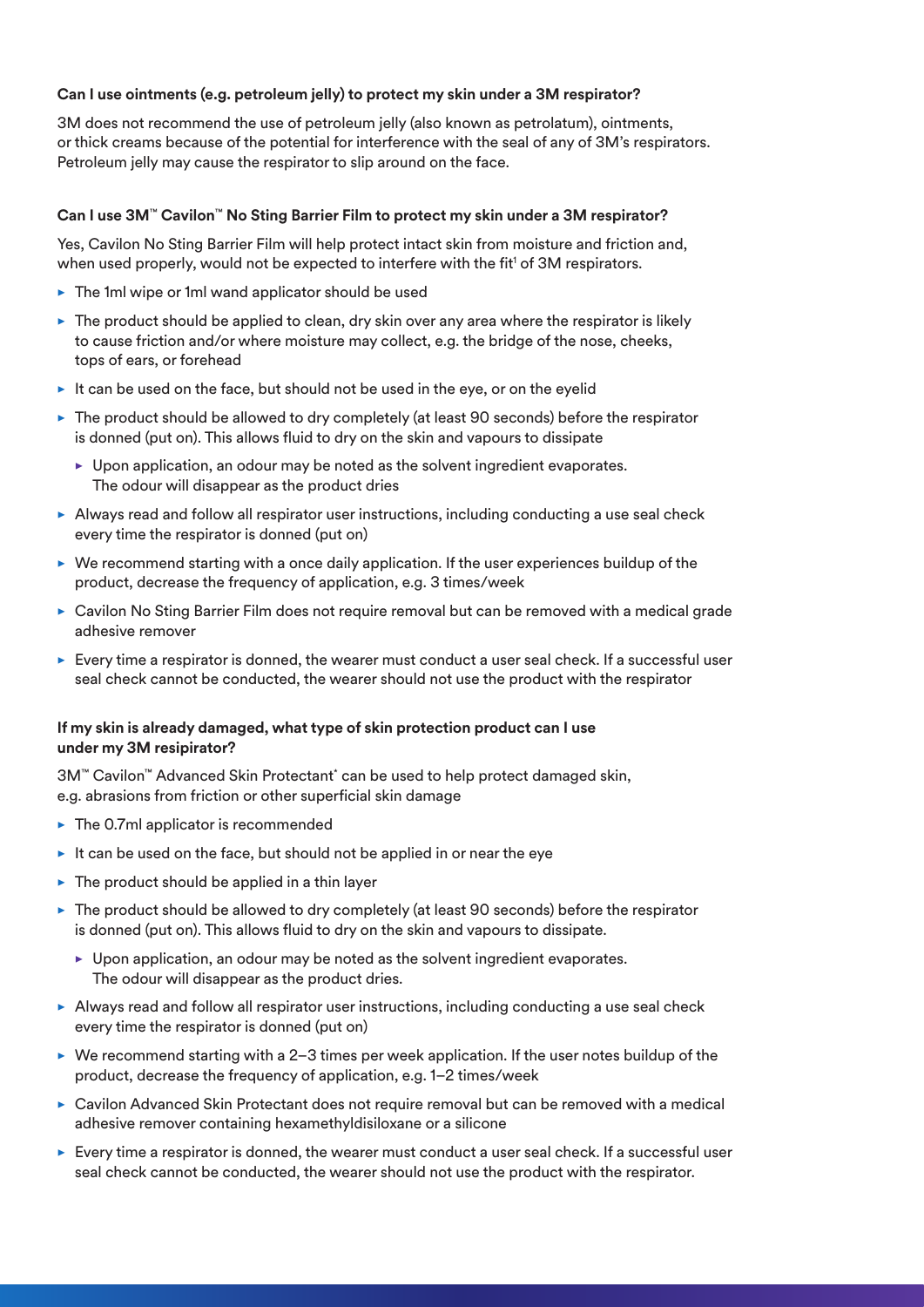#### **Can I use ointments (e.g. petroleum jelly) to protect my skin under a 3M respirator?**

3M does not recommend the use of petroleum jelly (also known as petrolatum), ointments, or thick creams because of the potential for interference with the seal of any of 3M's respirators. Petroleum jelly may cause the respirator to slip around on the face.

#### **Can I use 3M**™ **Cavilon**™ **No Sting Barrier Film to protect my skin under a 3M respirator?**

Yes, Cavilon No Sting Barrier Film will help protect intact skin from moisture and friction and, when used properly, would not be expected to interfere with the fit<sup>1</sup> of 3M respirators.

- The 1ml wipe or 1ml wand applicator should be used
- $\triangleright$  The product should be applied to clean, dry skin over any area where the respirator is likely to cause friction and/or where moisture may collect, e.g. the bridge of the nose, cheeks, tops of ears, or forehead
- It can be used on the face, but should not be used in the eye, or on the eyelid
- $\triangleright$  The product should be allowed to dry completely (at least 90 seconds) before the respirator is donned (put on). This allows fluid to dry on the skin and vapours to dissipate
	- $\blacktriangleright$  Upon application, an odour may be noted as the solvent ingredient evaporates. The odour will disappear as the product dries
- $\triangleright$  Always read and follow all respirator user instructions, including conducting a use seal check every time the respirator is donned (put on)
- $\triangleright$  We recommend starting with a once daily application. If the user experiences buildup of the product, decrease the frequency of application, e.g. 3 times/week
- Cavilon No Sting Barrier Film does not require removal but can be removed with a medical grade adhesive remover
- $\blacktriangleright$  Every time a respirator is donned, the wearer must conduct a user seal check. If a successful user seal check cannot be conducted, the wearer should not use the product with the respirator

#### **If my skin is already damaged, what type of skin protection product can I use under my 3M resipirator?**

3M™ Cavilon™ Advanced Skin Protectant\* can be used to help protect damaged skin, e.g. abrasions from friction or other superficial skin damage

- $\blacktriangleright$  The 0.7ml applicator is recommended
- $\blacktriangleright$  It can be used on the face, but should not be applied in or near the eye
- $\blacktriangleright$  The product should be applied in a thin layer
- $\triangleright$  The product should be allowed to dry completely (at least 90 seconds) before the respirator is donned (put on). This allows fluid to dry on the skin and vapours to dissipate.
	- Upon application, an odour may be noted as the solvent ingredient evaporates. The odour will disappear as the product dries.
- $\blacktriangleright$  Always read and follow all respirator user instructions, including conducting a use seal check every time the respirator is donned (put on)
- $\triangleright$  We recommend starting with a 2-3 times per week application. If the user notes buildup of the product, decrease the frequency of application, e.g. 1–2 times/week
- Cavilon Advanced Skin Protectant does not require removal but can be removed with a medical adhesive remover containing hexamethyldisiloxane or a silicone
- $\blacktriangleright$  Every time a respirator is donned, the wearer must conduct a user seal check. If a successful user seal check cannot be conducted, the wearer should not use the product with the respirator.